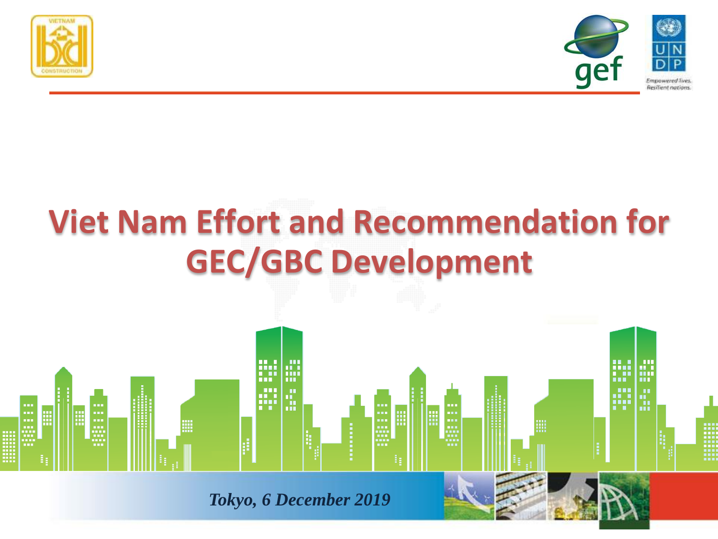



# **Viet Nam Effort and Recommendation for GEC/GBC Development**

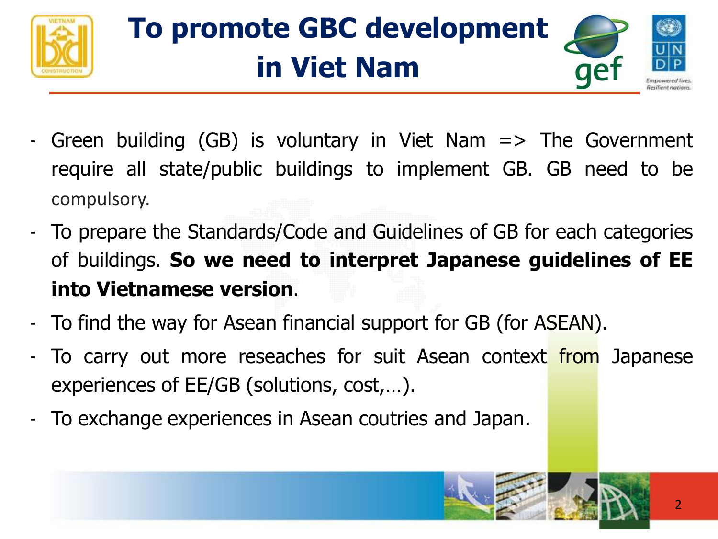

# **To promote GBC development in Viet Nam**



- Green building (GB) is voluntary in Viet Nam  $\Rightarrow$  The Government require all state/public buildings to implement GB. GB need to be compulsory.
- To prepare the Standards/Code and Guidelines of GB for each categories of buildings. **So we need to interpret Japanese guidelines of EE into Vietnamese version**.
- To find the way for Asean financial support for GB (for ASEAN).
- To carry out more reseaches for suit Asean context from Japanese experiences of EE/GB (solutions, cost,…).
- To exchange experiences in Asean coutries and Japan.

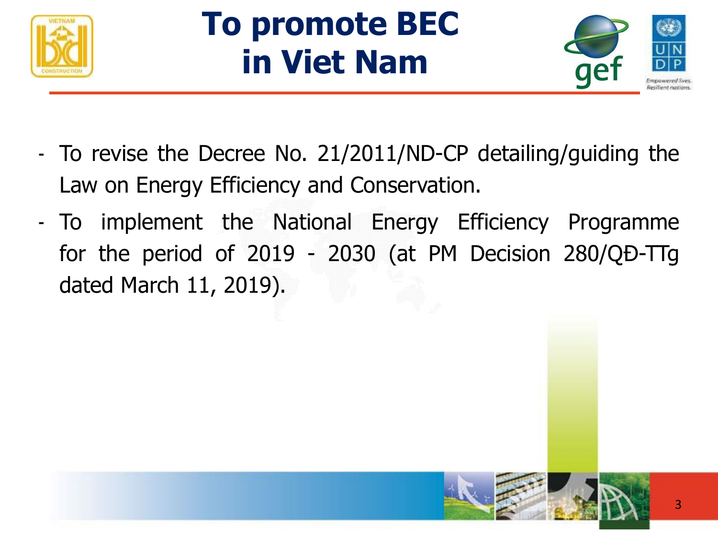

# **To promote BEC in Viet Nam**



- To revise the Decree No. 21/2011/ND-CP detailing/guiding the Law on Energy Efficiency and Conservation.
- To implement the National Energy Efficiency Programme for the period of 2019 - 2030 (at PM Decision 280/QĐ-TTg dated March 11, 2019).

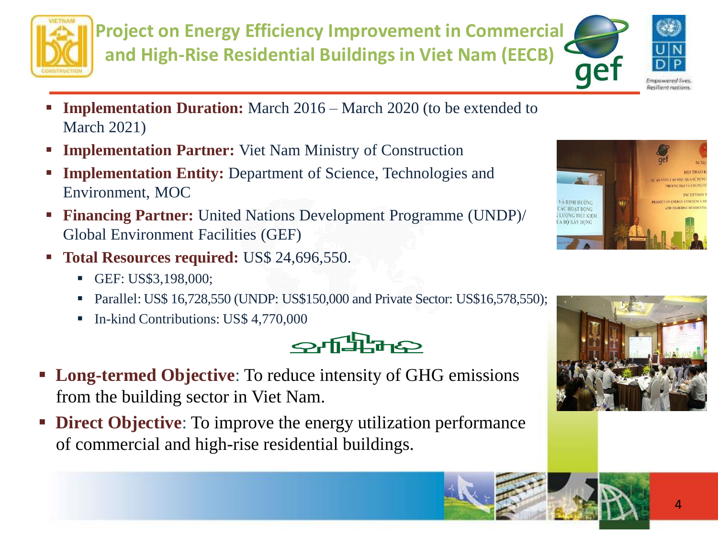

**Project on Energy Efficiency Improvement in Commercial and High-Rise Residential Buildings in Viet Nam (EECB)**



- **Implementation Duration:** March 2016 March 2020 (to be extended to March 2021)
- **Examplementation Partner:** Viet Nam Ministry of Construction
- **Implementation Entity:** Department of Science, Technologies and Environment, MOC
- **Financing Partner:** United Nations Development Programme (UNDP)/ Global Environment Facilities (GEF)
- **Total Resources required:** US\$ 24,696,550.
	- **GEF: US\$3,198,000;**
	- **•** Parallel: US\$ 16,728,550 (UNDP: US\$150,000 and Private Sector: US\$16,578,550);
	- In-kind Contributions: US\$ 4,770,000



- **Long-termed Objective**: To reduce intensity of GHG emissions from the building sector in Viet Nam.
- **Direct Objective**: To improve the energy utilization performance of commercial and high-rise residential buildings.





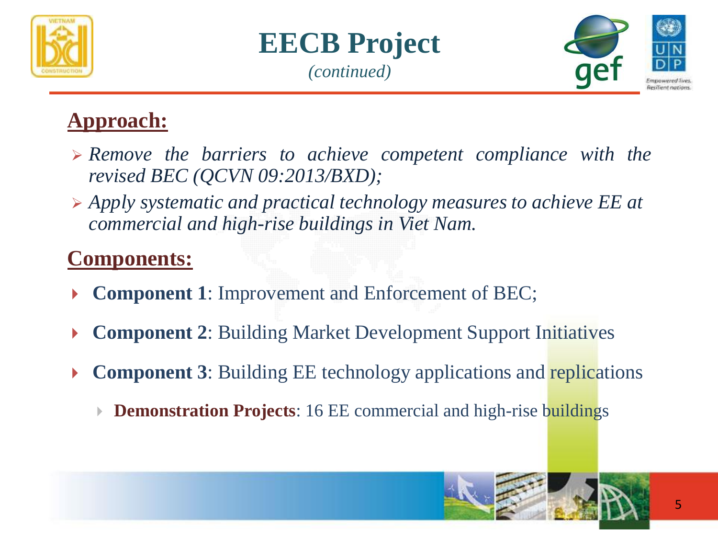





### **Approach:**

- ➢ *Remove the barriers to achieve competent compliance with the revised BEC (QCVN 09:2013/BXD);*
- ➢ *Apply systematic and practical technology measures to achieve EE at commercial and high-rise buildings in Viet Nam.*

### **Components:**

- **Component 1:** Improvement and Enforcement of BEC;
- **Component 2**: Building Market Development Support Initiatives
- **Component 3**: Building EE technology applications and replications
	- **Demonstration Projects**: 16 EE commercial and high-rise buildings

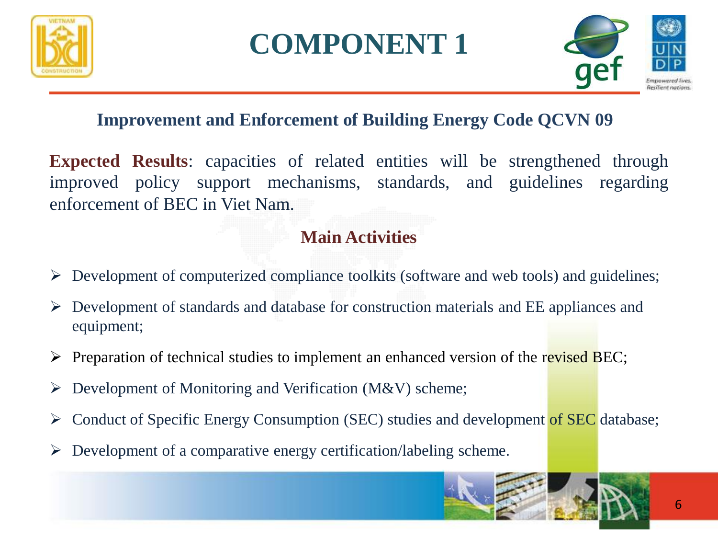

### **COMPONENT 1**



#### **Improvement and Enforcement of Building Energy Code QCVN 09**

**Expected Results**: capacities of related entities will be strengthened through improved policy support mechanisms, standards, and guidelines regarding enforcement of BEC in Viet Nam.

#### **Main Activities**

- ➢ Development of computerized compliance toolkits (software and web tools) and guidelines;
- ➢ Development of standards and database for construction materials and EE appliances and equipment;
- $\triangleright$  Preparation of technical studies to implement an enhanced version of the revised BEC;
- $\triangleright$  Development of Monitoring and Verification (M&V) scheme;
- ➢ Conduct of Specific Energy Consumption (SEC) studies and development of SEC database;
- $\triangleright$  Development of a comparative energy certification/labeling scheme.

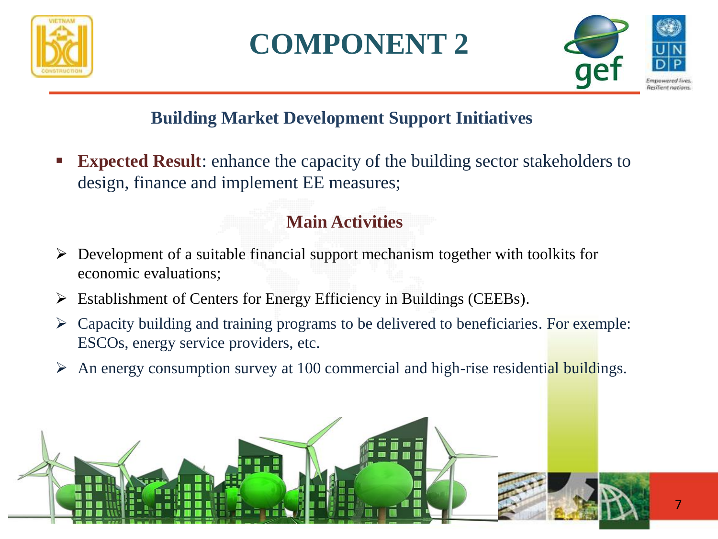





#### **Building Market Development Support Initiatives**

**Expected Result:** enhance the capacity of the building sector stakeholders to design, finance and implement EE measures;

#### **Main Activities**

- ➢ Development of a suitable financial support mechanism together with toolkits for economic evaluations;
- ➢ Establishment of Centers for Energy Efficiency in Buildings (CEEBs).
- $\triangleright$  Capacity building and training programs to be delivered to beneficiaries. For exemple: ESCOs, energy service providers, etc.
- An energy consumption survey at 100 commercial and high-rise residential buildings.

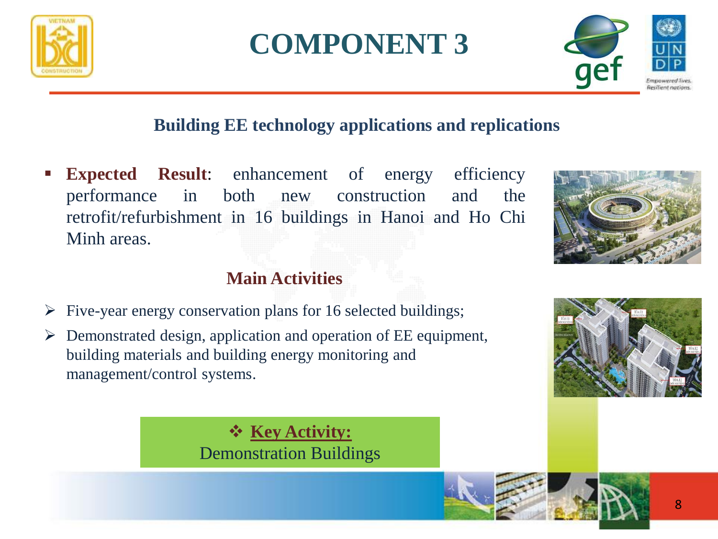

## **COMPONENT 3**



#### **Building EE technology applications and replications**

**Expected Result:** enhancement of energy efficiency performance in both new construction and the retrofit/refurbishment in 16 buildings in Hanoi and Ho Chi Minh areas.

#### **Main Activities**

- ➢ Five-year energy conservation plans for 16 selected buildings;
- ➢ Demonstrated design, application and operation of EE equipment, building materials and building energy monitoring and management/control systems.



❖ **Key Activity:**  Demonstration Buildings

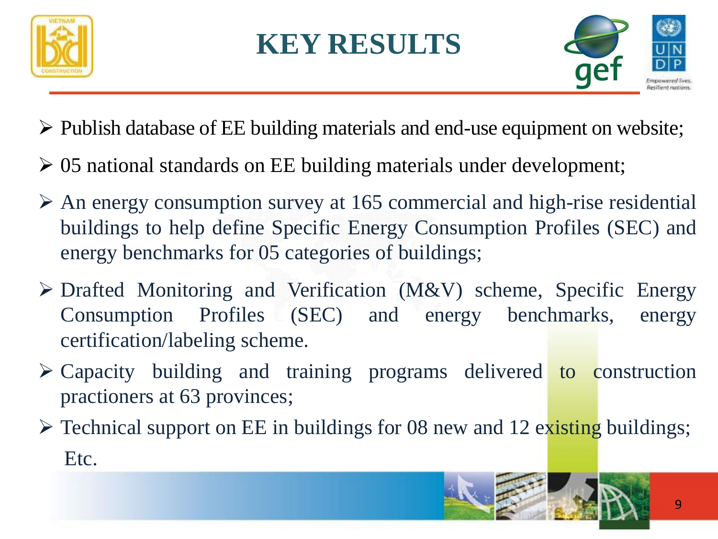

## **KEY RESULTS**



- ➢ Publish database of EE building materials and end-use equipment on website;
- ➢ 05 national standards on EE building materials under development;
- $\triangleright$  An energy consumption survey at 165 commercial and high-rise residential buildings to help define Specific Energy Consumption Profiles (SEC) and energy benchmarks for 05 categories of buildings;
- ➢ Drafted Monitoring and Verification (M&V) scheme, Specific Energy Consumption Profiles (SEC) and energy benchmarks, energy certification/labeling scheme.
- ➢ Capacity building and training programs delivered to construction practioners at 63 provinces;
- $\triangleright$  Technical support on EE in buildings for 08 new and 12 existing buildings; Etc.

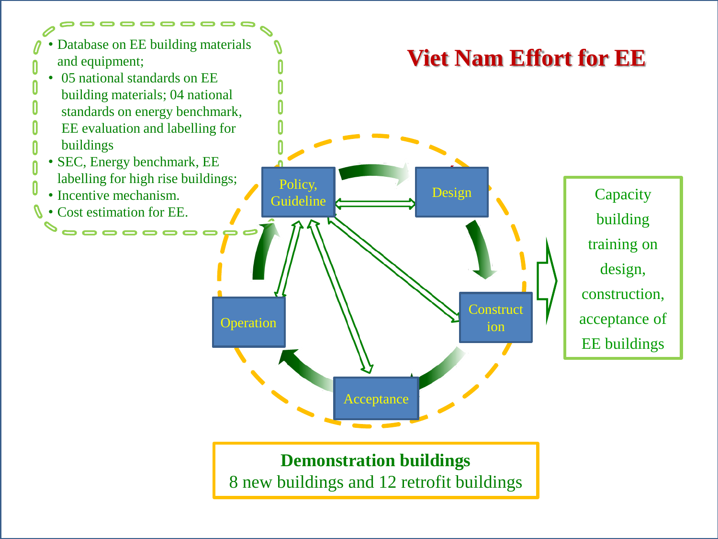

**Demonstration buildings**  8 new buildings and 12 retrofit buildings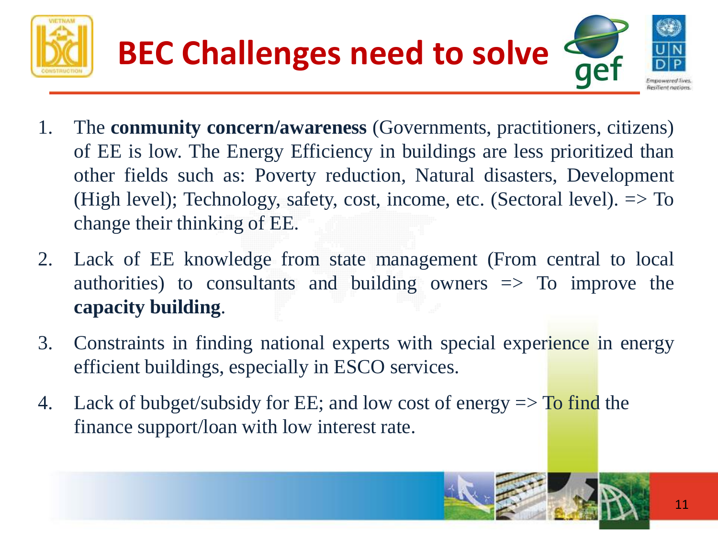



- 1. The **conmunity concern/awareness** (Governments, practitioners, citizens) of EE is low. The Energy Efficiency in buildings are less prioritized than other fields such as: Poverty reduction, Natural disasters, Development (High level); Technology, safety, cost, income, etc. (Sectoral level). => To change their thinking of EE.
- 2. Lack of EE knowledge from state management (From central to local authorities) to consultants and building owners  $\Rightarrow$  To improve the **capacity building**.
- 3. Constraints in finding national experts with special experience in energy efficient buildings, especially in ESCO services.
- 4. Lack of bubget/subsidy for EE; and low cost of energy  $\Rightarrow$  To find the finance support/loan with low interest rate.

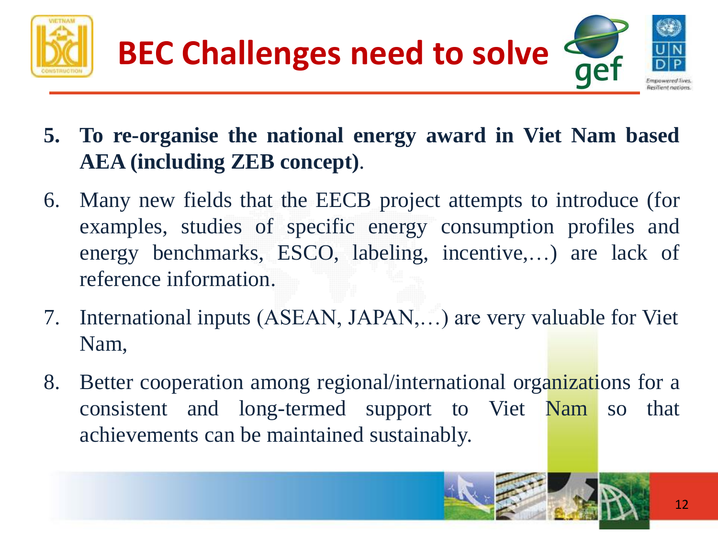



- **5. To re-organise the national energy award in Viet Nam based AEA (including ZEB concept)**.
- 6. Many new fields that the EECB project attempts to introduce (for examples, studies of specific energy consumption profiles and energy benchmarks, ESCO, labeling, incentive,…) are lack of reference information.
- 7. International inputs (ASEAN, JAPAN,…) are very valuable for Viet Nam,
- 8. Better cooperation among regional/international organizations for a consistent and long-termed support to Viet Nam so that achievements can be maintained sustainably.